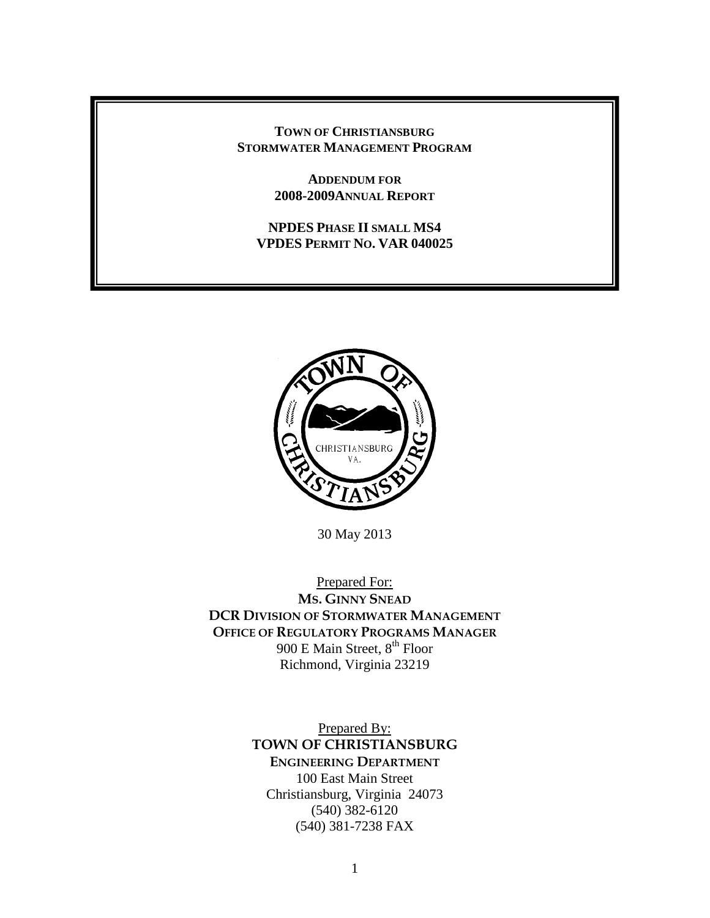#### **TOWN OF CHRISTIANSBURG STORMWATER MANAGEMENT PROGRAM**

**ADDENDUM FOR 2008-2009ANNUAL REPORT**

#### **NPDES PHASE II SMALL MS4 VPDES PERMIT NO. VAR 040025**



30 May 2013

Prepared For: **MS. GINNY SNEAD DCR DIVISION OF STORMWATER MANAGEMENT OFFICE OF REGULATORY PROGRAMS MANAGER** 900 E Main Street, 8<sup>th</sup> Floor Richmond, Virginia 23219

> Prepared By: **TOWN OF CHRISTIANSBURG ENGINEERING DEPARTMENT** 100 East Main Street Christiansburg, Virginia 24073 (540) 382-6120 (540) 381-7238 FAX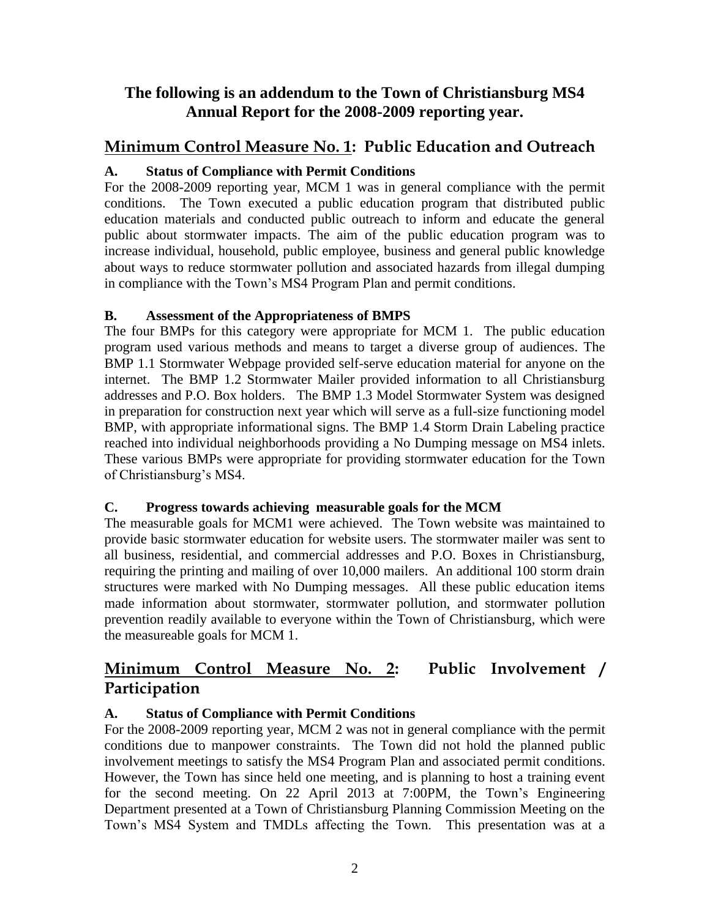## **The following is an addendum to the Town of Christiansburg MS4 Annual Report for the 2008-2009 reporting year.**

## **Minimum Control Measure No. 1: Public Education and Outreach**

### **A. Status of Compliance with Permit Conditions**

For the 2008-2009 reporting year, MCM 1 was in general compliance with the permit conditions. The Town executed a public education program that distributed public education materials and conducted public outreach to inform and educate the general public about stormwater impacts. The aim of the public education program was to increase individual, household, public employee, business and general public knowledge about ways to reduce stormwater pollution and associated hazards from illegal dumping in compliance with the Town's MS4 Program Plan and permit conditions.

### **B. Assessment of the Appropriateness of BMPS**

The four BMPs for this category were appropriate for MCM 1. The public education program used various methods and means to target a diverse group of audiences. The BMP 1.1 Stormwater Webpage provided self-serve education material for anyone on the internet. The BMP 1.2 Stormwater Mailer provided information to all Christiansburg addresses and P.O. Box holders. The BMP 1.3 Model Stormwater System was designed in preparation for construction next year which will serve as a full-size functioning model BMP, with appropriate informational signs. The BMP 1.4 Storm Drain Labeling practice reached into individual neighborhoods providing a No Dumping message on MS4 inlets. These various BMPs were appropriate for providing stormwater education for the Town of Christiansburg's MS4.

### **C. Progress towards achieving measurable goals for the MCM**

The measurable goals for MCM1 were achieved. The Town website was maintained to provide basic stormwater education for website users. The stormwater mailer was sent to all business, residential, and commercial addresses and P.O. Boxes in Christiansburg, requiring the printing and mailing of over 10,000 mailers. An additional 100 storm drain structures were marked with No Dumping messages. All these public education items made information about stormwater, stormwater pollution, and stormwater pollution prevention readily available to everyone within the Town of Christiansburg, which were the measureable goals for MCM 1.

## **Minimum Control Measure No. 2: Public Involvement / Participation**

### **A. Status of Compliance with Permit Conditions**

For the 2008-2009 reporting year, MCM 2 was not in general compliance with the permit conditions due to manpower constraints. The Town did not hold the planned public involvement meetings to satisfy the MS4 Program Plan and associated permit conditions. However, the Town has since held one meeting, and is planning to host a training event for the second meeting. On 22 April 2013 at 7:00PM, the Town's Engineering Department presented at a Town of Christiansburg Planning Commission Meeting on the Town's MS4 System and TMDLs affecting the Town. This presentation was at a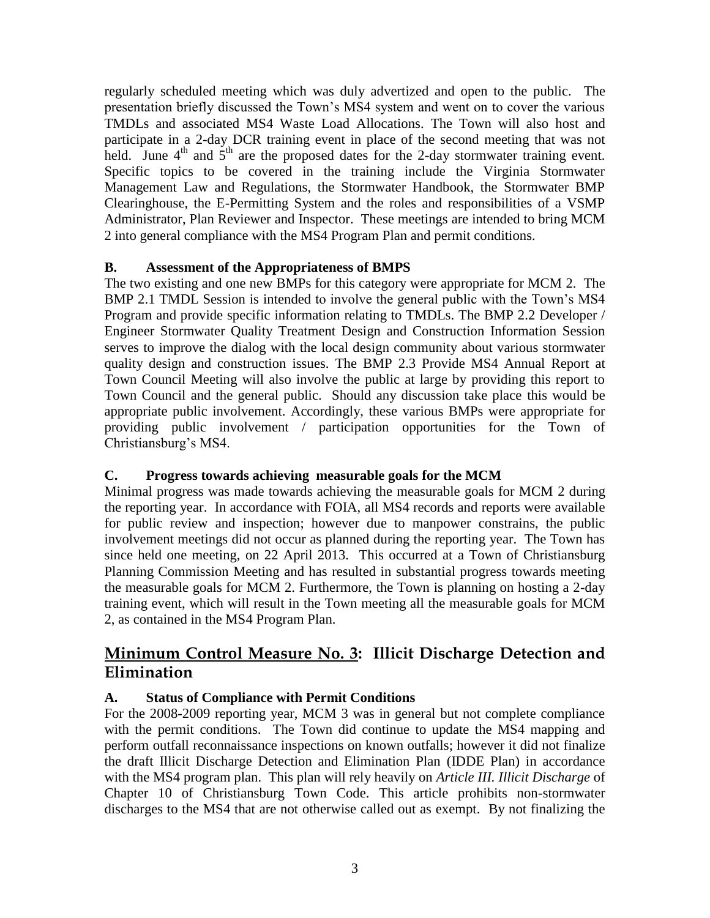regularly scheduled meeting which was duly advertized and open to the public. The presentation briefly discussed the Town's MS4 system and went on to cover the various TMDLs and associated MS4 Waste Load Allocations. The Town will also host and participate in a 2-day DCR training event in place of the second meeting that was not held. June  $4<sup>th</sup>$  and  $5<sup>th</sup>$  are the proposed dates for the 2-day stormwater training event. Specific topics to be covered in the training include the Virginia Stormwater Management Law and Regulations, the Stormwater Handbook, the Stormwater BMP Clearinghouse, the E-Permitting System and the roles and responsibilities of a VSMP Administrator, Plan Reviewer and Inspector. These meetings are intended to bring MCM 2 into general compliance with the MS4 Program Plan and permit conditions.

### **B. Assessment of the Appropriateness of BMPS**

The two existing and one new BMPs for this category were appropriate for MCM 2. The BMP 2.1 TMDL Session is intended to involve the general public with the Town's MS4 Program and provide specific information relating to TMDLs. The BMP 2.2 Developer / Engineer Stormwater Quality Treatment Design and Construction Information Session serves to improve the dialog with the local design community about various stormwater quality design and construction issues. The BMP 2.3 Provide MS4 Annual Report at Town Council Meeting will also involve the public at large by providing this report to Town Council and the general public. Should any discussion take place this would be appropriate public involvement. Accordingly, these various BMPs were appropriate for providing public involvement / participation opportunities for the Town of Christiansburg's MS4.

### **C. Progress towards achieving measurable goals for the MCM**

Minimal progress was made towards achieving the measurable goals for MCM 2 during the reporting year. In accordance with FOIA, all MS4 records and reports were available for public review and inspection; however due to manpower constrains, the public involvement meetings did not occur as planned during the reporting year. The Town has since held one meeting, on 22 April 2013. This occurred at a Town of Christiansburg Planning Commission Meeting and has resulted in substantial progress towards meeting the measurable goals for MCM 2. Furthermore, the Town is planning on hosting a 2-day training event, which will result in the Town meeting all the measurable goals for MCM 2, as contained in the MS4 Program Plan.

## **Minimum Control Measure No. 3: Illicit Discharge Detection and Elimination**

### **A. Status of Compliance with Permit Conditions**

For the 2008-2009 reporting year, MCM 3 was in general but not complete compliance with the permit conditions. The Town did continue to update the MS4 mapping and perform outfall reconnaissance inspections on known outfalls; however it did not finalize the draft Illicit Discharge Detection and Elimination Plan (IDDE Plan) in accordance with the MS4 program plan. This plan will rely heavily on *Article III. Illicit Discharge* of Chapter 10 of Christiansburg Town Code. This article prohibits non-stormwater discharges to the MS4 that are not otherwise called out as exempt. By not finalizing the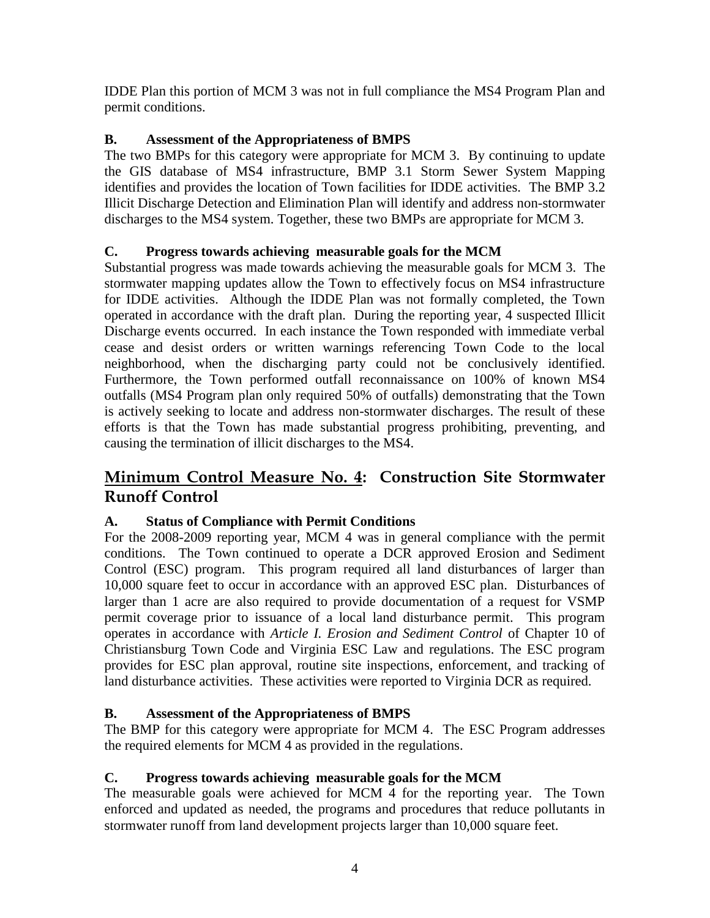IDDE Plan this portion of MCM 3 was not in full compliance the MS4 Program Plan and permit conditions.

## **B. Assessment of the Appropriateness of BMPS**

The two BMPs for this category were appropriate for MCM 3. By continuing to update the GIS database of MS4 infrastructure, BMP 3.1 Storm Sewer System Mapping identifies and provides the location of Town facilities for IDDE activities. The BMP 3.2 Illicit Discharge Detection and Elimination Plan will identify and address non-stormwater discharges to the MS4 system. Together, these two BMPs are appropriate for MCM 3.

### **C. Progress towards achieving measurable goals for the MCM**

Substantial progress was made towards achieving the measurable goals for MCM 3. The stormwater mapping updates allow the Town to effectively focus on MS4 infrastructure for IDDE activities. Although the IDDE Plan was not formally completed, the Town operated in accordance with the draft plan. During the reporting year, 4 suspected Illicit Discharge events occurred. In each instance the Town responded with immediate verbal cease and desist orders or written warnings referencing Town Code to the local neighborhood, when the discharging party could not be conclusively identified. Furthermore, the Town performed outfall reconnaissance on 100% of known MS4 outfalls (MS4 Program plan only required 50% of outfalls) demonstrating that the Town is actively seeking to locate and address non-stormwater discharges. The result of these efforts is that the Town has made substantial progress prohibiting, preventing, and causing the termination of illicit discharges to the MS4.

## **Minimum Control Measure No. 4: Construction Site Stormwater Runoff Control**

## **A. Status of Compliance with Permit Conditions**

For the 2008-2009 reporting year, MCM 4 was in general compliance with the permit conditions. The Town continued to operate a DCR approved Erosion and Sediment Control (ESC) program. This program required all land disturbances of larger than 10,000 square feet to occur in accordance with an approved ESC plan. Disturbances of larger than 1 acre are also required to provide documentation of a request for VSMP permit coverage prior to issuance of a local land disturbance permit. This program operates in accordance with *Article I. Erosion and Sediment Control* of Chapter 10 of Christiansburg Town Code and Virginia ESC Law and regulations. The ESC program provides for ESC plan approval, routine site inspections, enforcement, and tracking of land disturbance activities. These activities were reported to Virginia DCR as required.

### **B. Assessment of the Appropriateness of BMPS**

The BMP for this category were appropriate for MCM 4. The ESC Program addresses the required elements for MCM 4 as provided in the regulations.

## **C. Progress towards achieving measurable goals for the MCM**

The measurable goals were achieved for MCM 4 for the reporting year. The Town enforced and updated as needed, the programs and procedures that reduce pollutants in stormwater runoff from land development projects larger than 10,000 square feet.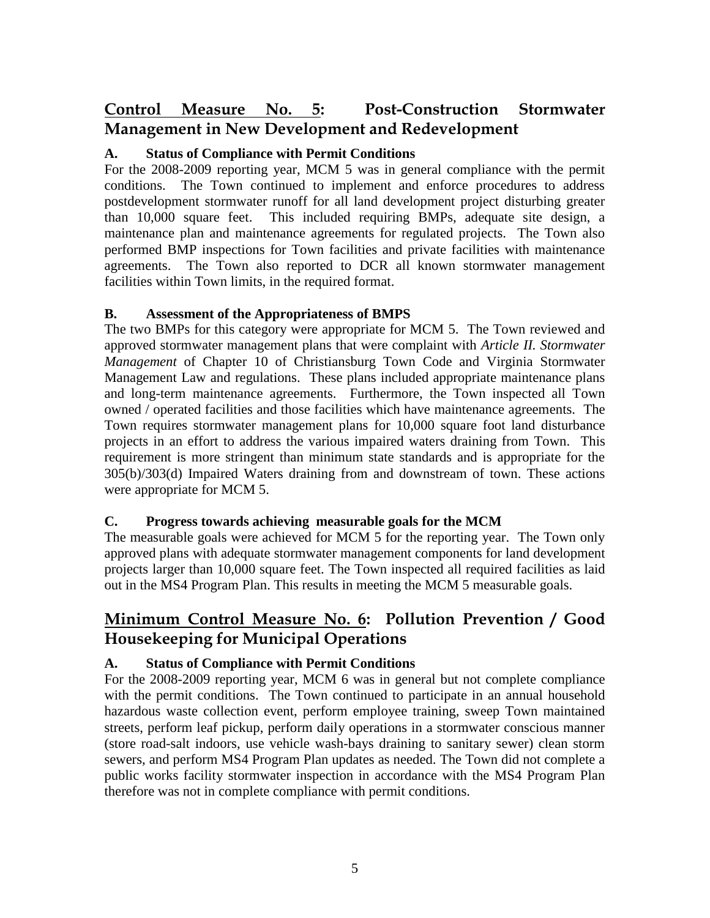# **Control Measure No. 5: Post-Construction Stormwater Management in New Development and Redevelopment**

### **A. Status of Compliance with Permit Conditions**

For the 2008-2009 reporting year, MCM 5 was in general compliance with the permit conditions. The Town continued to implement and enforce procedures to address postdevelopment stormwater runoff for all land development project disturbing greater than 10,000 square feet. This included requiring BMPs, adequate site design, a maintenance plan and maintenance agreements for regulated projects. The Town also performed BMP inspections for Town facilities and private facilities with maintenance agreements. The Town also reported to DCR all known stormwater management facilities within Town limits, in the required format.

### **B. Assessment of the Appropriateness of BMPS**

The two BMPs for this category were appropriate for MCM 5. The Town reviewed and approved stormwater management plans that were complaint with *Article II. Stormwater Management* of Chapter 10 of Christiansburg Town Code and Virginia Stormwater Management Law and regulations. These plans included appropriate maintenance plans and long-term maintenance agreements. Furthermore, the Town inspected all Town owned / operated facilities and those facilities which have maintenance agreements. The Town requires stormwater management plans for 10,000 square foot land disturbance projects in an effort to address the various impaired waters draining from Town. This requirement is more stringent than minimum state standards and is appropriate for the 305(b)/303(d) Impaired Waters draining from and downstream of town. These actions were appropriate for MCM 5.

### **C. Progress towards achieving measurable goals for the MCM**

The measurable goals were achieved for MCM 5 for the reporting year. The Town only approved plans with adequate stormwater management components for land development projects larger than 10,000 square feet. The Town inspected all required facilities as laid out in the MS4 Program Plan. This results in meeting the MCM 5 measurable goals.

## **Minimum Control Measure No. 6: Pollution Prevention / Good Housekeeping for Municipal Operations**

### **A. Status of Compliance with Permit Conditions**

For the 2008-2009 reporting year, MCM 6 was in general but not complete compliance with the permit conditions. The Town continued to participate in an annual household hazardous waste collection event, perform employee training, sweep Town maintained streets, perform leaf pickup, perform daily operations in a stormwater conscious manner (store road-salt indoors, use vehicle wash-bays draining to sanitary sewer) clean storm sewers, and perform MS4 Program Plan updates as needed. The Town did not complete a public works facility stormwater inspection in accordance with the MS4 Program Plan therefore was not in complete compliance with permit conditions.